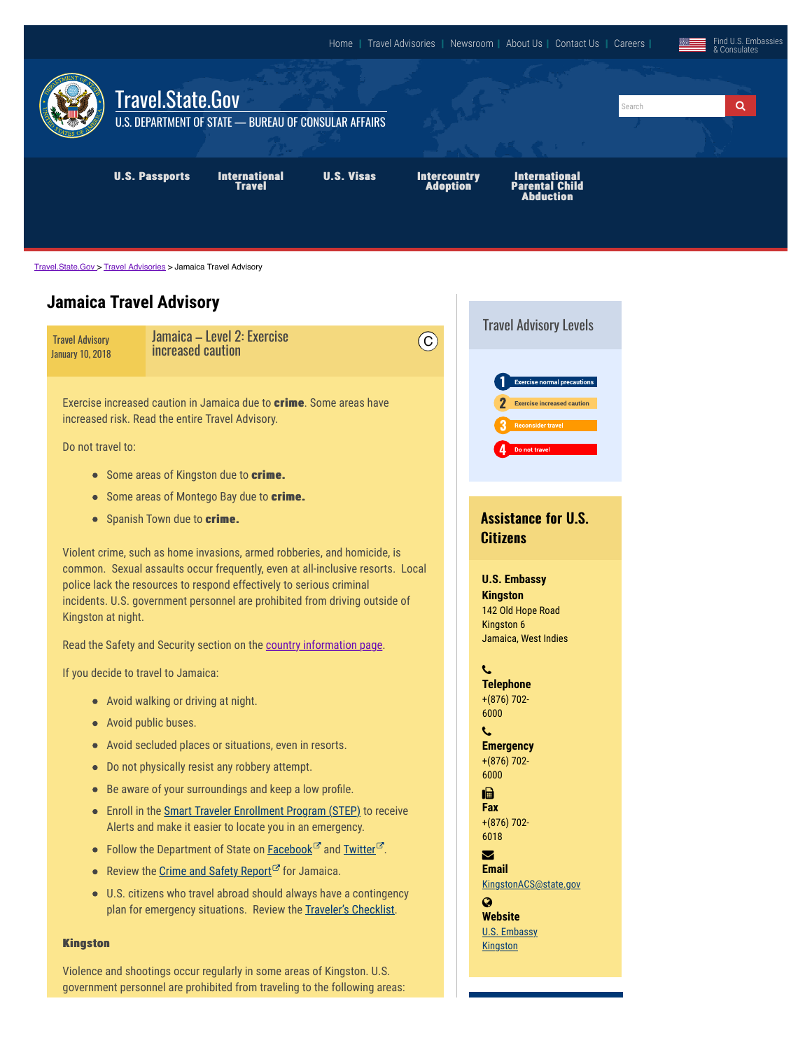

[Travel.State.Gov](https://travel.state.gov/content/travel.html) > [Travel Advisories](https://travel.state.gov/content/travel/en/traveladvisories/traveladvisories.html) > Jamaica Travel Advisory

## **Jamaica Travel Advisory**

|                                            |                                                                                                                                                                                                                                                                                                                | <b>Travel Advisory Levels</b>                                                                                        |
|--------------------------------------------|----------------------------------------------------------------------------------------------------------------------------------------------------------------------------------------------------------------------------------------------------------------------------------------------------------------|----------------------------------------------------------------------------------------------------------------------|
| <b>Travel Advisory</b><br>January 10, 2018 | Jamaica - Level 2: Exercise<br>$\overline{C}$<br>increased caution                                                                                                                                                                                                                                             |                                                                                                                      |
| Do not travel to:                          | Exercise increased caution in Jamaica due to crime. Some areas have<br>increased risk. Read the entire Travel Advisory.<br>• Some areas of Kingston due to crime.                                                                                                                                              | <b>Exercise normal precautions</b><br><b>Exercise increased caution</b><br><b>Reconsider travel</b><br>Do not travel |
|                                            | • Some areas of Montego Bay due to crime.                                                                                                                                                                                                                                                                      |                                                                                                                      |
|                                            | • Spanish Town due to crime.                                                                                                                                                                                                                                                                                   | <b>Assistance for U.S.</b>                                                                                           |
|                                            | Violent crime, such as home invasions, armed robberies, and homicide, is                                                                                                                                                                                                                                       | <b>Citizens</b>                                                                                                      |
| Kingston at night.                         | common. Sexual assaults occur frequently, even at all-inclusive resorts. Local<br>police lack the resources to respond effectively to serious criminal<br>incidents. U.S. government personnel are prohibited from driving outside of<br>Read the Safety and Security section on the country information page. | <b>U.S. Embassy</b><br><b>Kingston</b><br>142 Old Hope Road<br>Kingston 6<br>Jamaica, West Indies                    |
|                                            |                                                                                                                                                                                                                                                                                                                |                                                                                                                      |
|                                            | If you decide to travel to Jamaica:                                                                                                                                                                                                                                                                            | L<br><b>Telephone</b>                                                                                                |
|                                            | • Avoid walking or driving at night.                                                                                                                                                                                                                                                                           | $+(876)$ 702-<br>6000                                                                                                |
|                                            | • Avoid public buses.                                                                                                                                                                                                                                                                                          | L                                                                                                                    |
|                                            | • Avoid secluded places or situations, even in resorts.                                                                                                                                                                                                                                                        | <b>Emergency</b>                                                                                                     |
| $\bullet$                                  | Do not physically resist any robbery attempt.                                                                                                                                                                                                                                                                  | $+(876)$ 702-<br>6000                                                                                                |
| $\bullet$                                  | Be aware of your surroundings and keep a low profile.                                                                                                                                                                                                                                                          | 匾                                                                                                                    |
|                                            | • Enroll in the Smart Traveler Enrollment Program (STEP) to receive<br>Alerts and make it easier to locate you in an emergency.                                                                                                                                                                                | <b>Fax</b><br>$+(876)$ 702-<br>6018                                                                                  |
|                                            | • Follow the Department of State on <b>Facebook</b> <sup><math>\mathbb{Z}^r</math></sup> and <b>Twitter</b> $\mathbb{Z}^r$ .                                                                                                                                                                                   | $\boldsymbol{\triangledown}$                                                                                         |
|                                            | • Review the Crime and Safety Report <sup>C</sup> for Jamaica.                                                                                                                                                                                                                                                 | <b>Email</b>                                                                                                         |
|                                            | • U.S. citizens who travel abroad should always have a contingency<br>plan for emergency situations. Review the Traveler's Checklist.                                                                                                                                                                          | KingstonACS@state.gov<br>Q<br><b>Website</b><br><b>U.S. Embassy</b>                                                  |
| <b>Kingston</b>                            |                                                                                                                                                                                                                                                                                                                | <b>Kingston</b>                                                                                                      |
|                                            | Violence and shootings occur regularly in some areas of Kingston. U.S.                                                                                                                                                                                                                                         |                                                                                                                      |

government personnel are prohibited from traveling to the following areas: